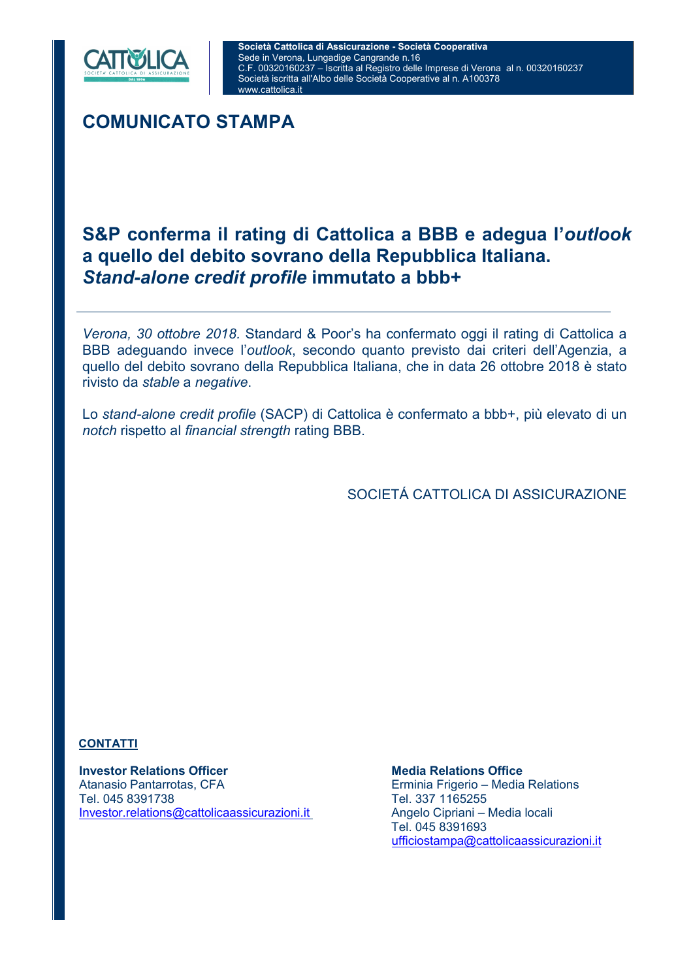

COMUNICATO STAMPA

# S&P conferma il rating di Cattolica a BBB e adegua l'outlook a quello del debito sovrano della Repubblica Italiana. Stand-alone credit profile immutato a bbb+

Ī Verona, 30 ottobre 2018. Standard & Poor's ha confermato oggi il rating di Cattolica a BBB adeguando invece l'outlook, secondo quanto previsto dai criteri dell'Agenzia, a quello del debito sovrano della Repubblica Italiana, che in data 26 ottobre 2018 è stato rivisto da stable a negative.

Lo stand-alone credit profile (SACP) di Cattolica è confermato a bbb+, più elevato di un notch rispetto al financial strength rating BBB.

SOCIETÁ CATTOLICA DI ASSICURAZIONE

#### **CONTATTI**

**Investor Relations Officer Media Relations Office** Atanasio Pantarrotas, CFA **Erminia Frigerio** – Media Relations Tel. 045 8391738 Tel. 337 1165255 Investor.relations@cattolicaassicurazioni.it Angelo Cipriani – Media locali

 Tel. 045 8391693 ufficiostampa@cattolicaassicurazioni.it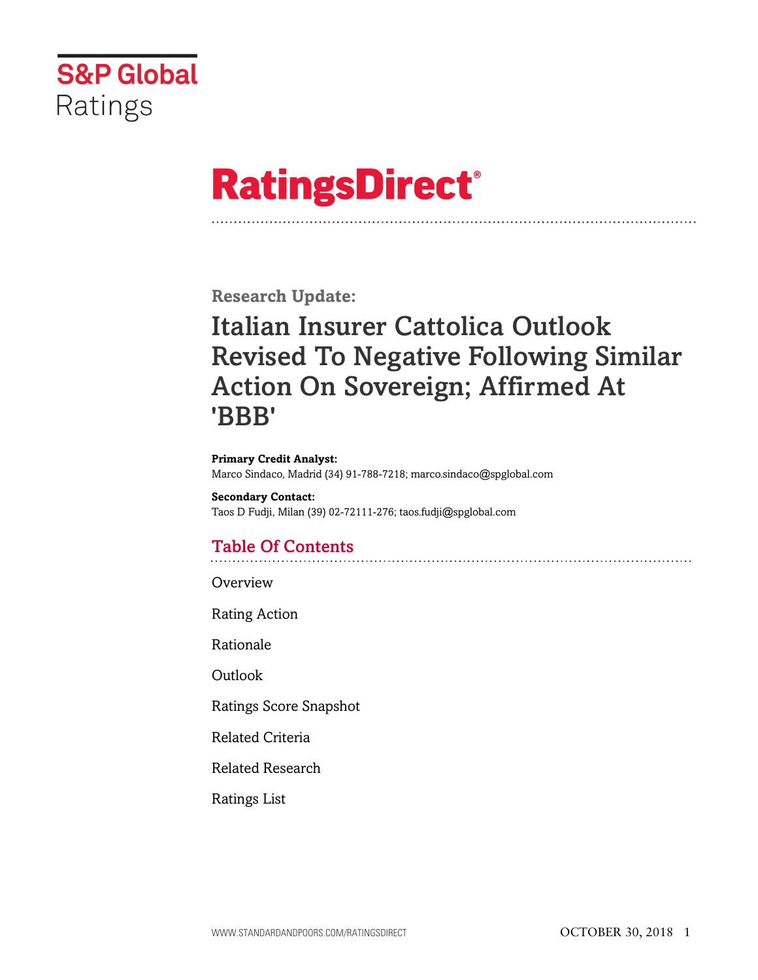

# **RatingsDirect®**

**Research Update:**

# Italian Insurer Cattolica Outlook Revised To Negative Following Similar Action On Sovereign; Affirmed At 'BBB'

**Primary Credit Analyst:**

Marco Sindaco, Madrid (34) 91-788-7218; marco.sindaco@spglobal.com

**Secondary Contact:** Taos D Fudji, Milan (39) 02-72111-276; taos.fudji@spglobal.com

# Table Of Contents

**[Overview](#page-2-0)** 

[Rating Action](#page-2-1)

[Rationale](#page-2-2)

[Outlook](#page-3-0)

[Ratings Score Snapshot](#page-3-1)

[Related Criteria](#page-4-0)

[Related Research](#page-4-1)

[Ratings List](#page-4-2)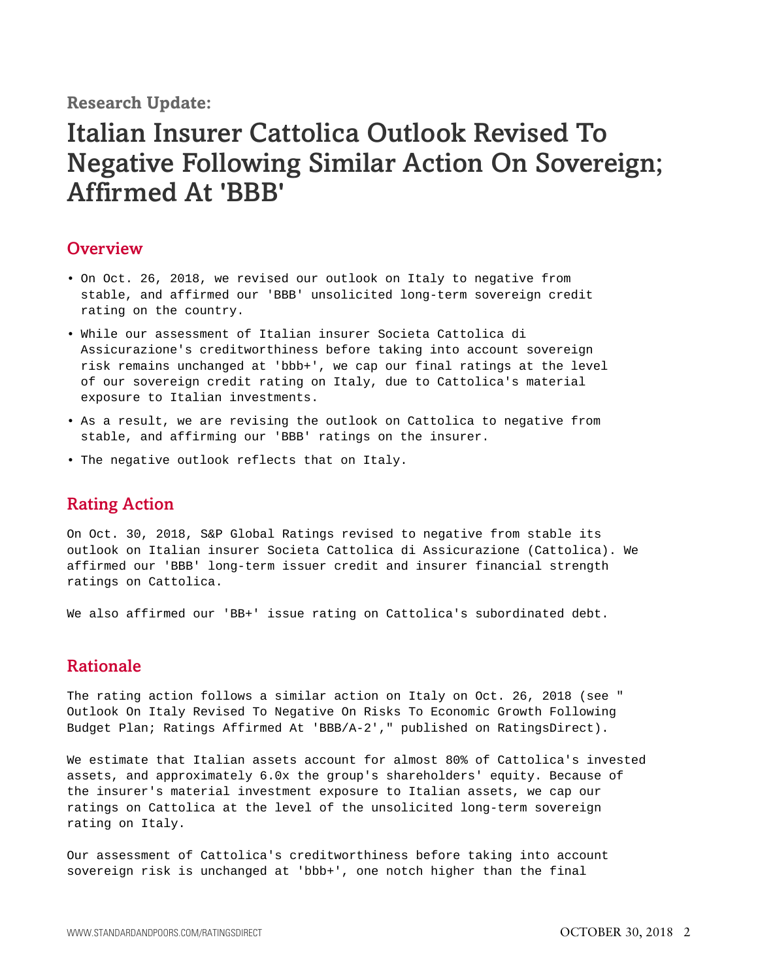**Research Update:**

# Italian Insurer Cattolica Outlook Revised To Negative Following Similar Action On Sovereign; Affirmed At 'BBB'

#### <span id="page-2-0"></span>**Overview**

- On Oct. 26, 2018, we revised our outlook on Italy to negative from stable, and affirmed our 'BBB' unsolicited long-term sovereign credit rating on the country.
- While our assessment of Italian insurer Societa Cattolica di Assicurazione's creditworthiness before taking into account sovereign risk remains unchanged at 'bbb+', we cap our final ratings at the level of our sovereign credit rating on Italy, due to Cattolica's material exposure to Italian investments.
- As a result, we are revising the outlook on Cattolica to negative from stable, and affirming our 'BBB' ratings on the insurer.
- <span id="page-2-1"></span>• The negative outlook reflects that on Italy.

### Rating Action

On Oct. 30, 2018, S&P Global Ratings revised to negative from stable its outlook on Italian insurer Societa Cattolica di Assicurazione (Cattolica). We affirmed our 'BBB' long-term issuer credit and insurer financial strength ratings on Cattolica.

<span id="page-2-2"></span>We also affirmed our 'BB+' issue rating on Cattolica's subordinated debt.

#### Rationale

The rating action follows a similar action on Italy on Oct. 26, 2018 (see " Outlook On Italy Revised To Negative On Risks To Economic Growth Following Budget Plan; Ratings Affirmed At 'BBB/A-2'," published on RatingsDirect).

We estimate that Italian assets account for almost 80% of Cattolica's invested assets, and approximately 6.0x the group's shareholders' equity. Because of the insurer's material investment exposure to Italian assets, we cap our ratings on Cattolica at the level of the unsolicited long-term sovereign rating on Italy.

Our assessment of Cattolica's creditworthiness before taking into account sovereign risk is unchanged at 'bbb+', one notch higher than the final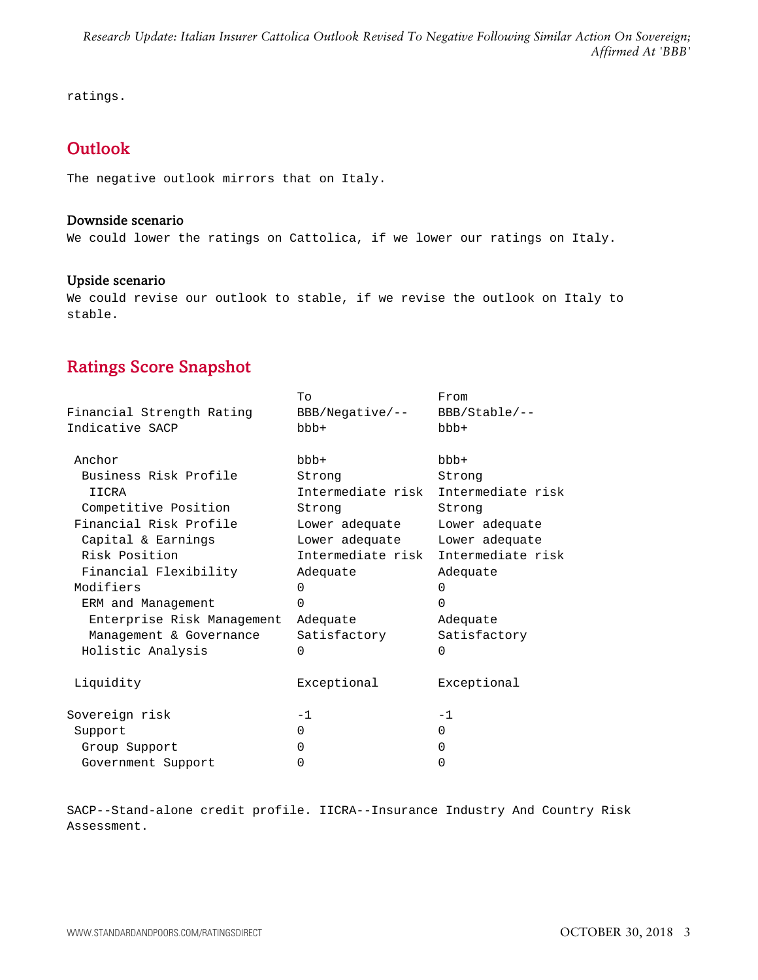*Research Update: Italian Insurer Cattolica Outlook Revised To Negative Following Similar Action On Sovereign; Affirmed At 'BBB'*

<span id="page-3-0"></span>ratings.

# **Outlook**

The negative outlook mirrors that on Italy.

#### Downside scenario

We could lower the ratings on Cattolica, if we lower our ratings on Italy.

#### Upside scenario

We could revise our outlook to stable, if we revise the outlook on Italy to stable.

## <span id="page-3-1"></span>Ratings Score Snapshot

|                            | To                | From              |
|----------------------------|-------------------|-------------------|
| Financial Strength Rating  | BBB/Negative/--   | $BBB/Stable/--$   |
| Indicative SACP            | $bbb +$           | $bbb +$           |
| Anchor                     | $bbb +$           | bbb+              |
| Business Risk Profile      | Strong            | Strong            |
| IICRA                      | Intermediate risk | Intermediate risk |
| Competitive Position       | Strong            | Strong            |
| Financial Risk Profile     | Lower adequate    | Lower adequate    |
| Capital & Earnings         | Lower adequate    | Lower adequate    |
| Risk Position              | Intermediate risk | Intermediate risk |
| Financial Flexibility      | Adequate          | Adequate          |
| Modifiers                  | 0                 | $\Omega$          |
| ERM and Management         | 0                 | $\Omega$          |
| Enterprise Risk Management | Adequate          | Adequate          |
| Management & Governance    | Satisfactory      | Satisfactory      |
| Holistic Analysis          | $\Omega$          | $\Omega$          |
| Liquidity                  | Exceptional       | Exceptional       |
| Sovereign risk             | $-1$              | $-1$              |
| Support                    | 0                 | $\Omega$          |
| Group Support              | 0                 | 0                 |
| Government Support         | 0                 | 0                 |

SACP--Stand-alone credit profile. IICRA--Insurance Industry And Country Risk Assessment.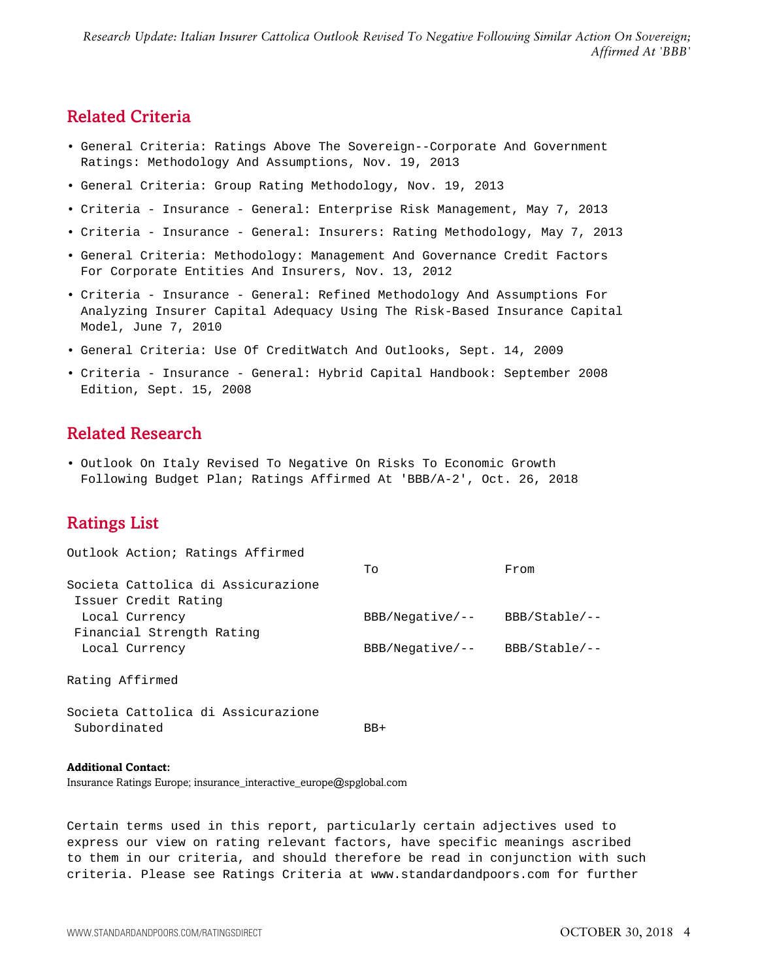## <span id="page-4-0"></span>Related Criteria

- General Criteria: Ratings Above The Sovereign--Corporate And Government Ratings: Methodology And Assumptions, Nov. 19, 2013
- General Criteria: Group Rating Methodology, Nov. 19, 2013
- Criteria Insurance General: Enterprise Risk Management, May 7, 2013
- Criteria Insurance General: Insurers: Rating Methodology, May 7, 2013
- General Criteria: Methodology: Management And Governance Credit Factors For Corporate Entities And Insurers, Nov. 13, 2012
- Criteria Insurance General: Refined Methodology And Assumptions For Analyzing Insurer Capital Adequacy Using The Risk-Based Insurance Capital Model, June 7, 2010
- General Criteria: Use Of CreditWatch And Outlooks, Sept. 14, 2009
- Criteria Insurance General: Hybrid Capital Handbook: September 2008 Edition, Sept. 15, 2008

### <span id="page-4-1"></span>Related Research

• Outlook On Italy Revised To Negative On Risks To Economic Growth Following Budget Plan; Ratings Affirmed At 'BBB/A-2', Oct. 26, 2018

### <span id="page-4-2"></span>Ratings List

| Outlook Action; Ratings Affirmed                   | To                               | From |
|----------------------------------------------------|----------------------------------|------|
| Societa Cattolica di Assicurazione                 |                                  |      |
| Issuer Credit Rating<br>Local Currency             | $BBB/Neqative/---$ BBB/Stable/-- |      |
| Financial Strength Rating<br>Local Currency        | $BBB/Neqative/---$ BBB/Stable/-- |      |
| Rating Affirmed                                    |                                  |      |
| Societa Cattolica di Assicurazione<br>Subordinated | $BB+$                            |      |

#### **Additional Contact:**

Insurance Ratings Europe; insurance\_interactive\_europe@spglobal.com

Certain terms used in this report, particularly certain adjectives used to express our view on rating relevant factors, have specific meanings ascribed to them in our criteria, and should therefore be read in conjunction with such criteria. Please see Ratings Criteria at www.standardandpoors.com for further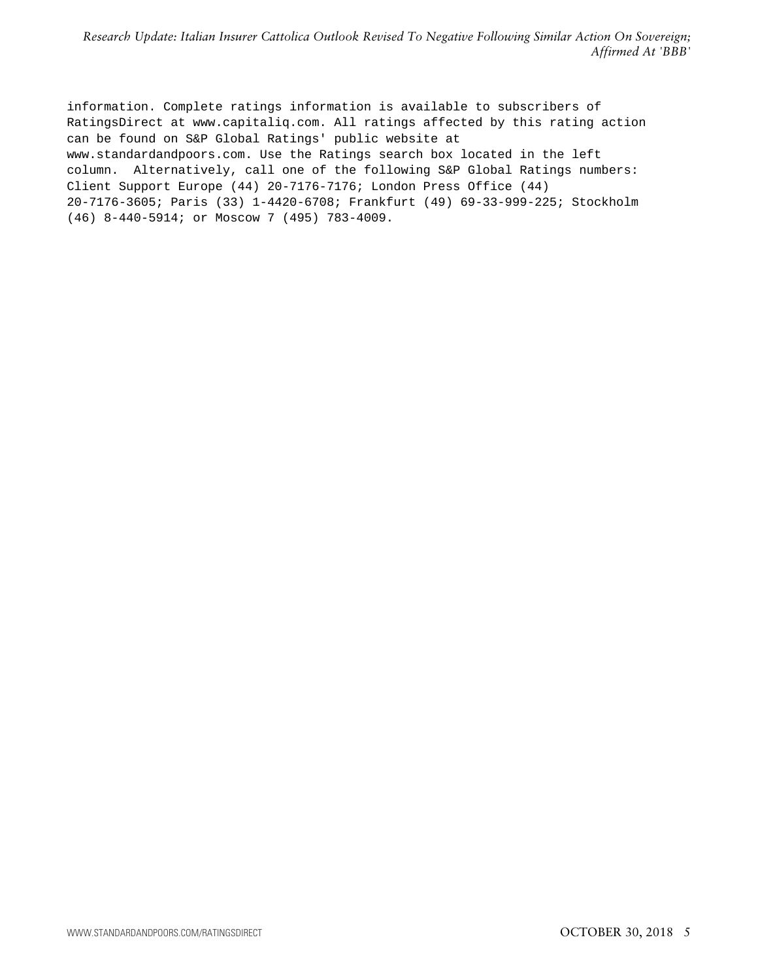*Research Update: Italian Insurer Cattolica Outlook Revised To Negative Following Similar Action On Sovereign; Affirmed At 'BBB'*

information. Complete ratings information is available to subscribers of RatingsDirect at www.capitaliq.com. All ratings affected by this rating action can be found on S&P Global Ratings' public website at www.standardandpoors.com. Use the Ratings search box located in the left column. Alternatively, call one of the following S&P Global Ratings numbers: Client Support Europe (44) 20-7176-7176; London Press Office (44) 20-7176-3605; Paris (33) 1-4420-6708; Frankfurt (49) 69-33-999-225; Stockholm (46) 8-440-5914; or Moscow 7 (495) 783-4009.